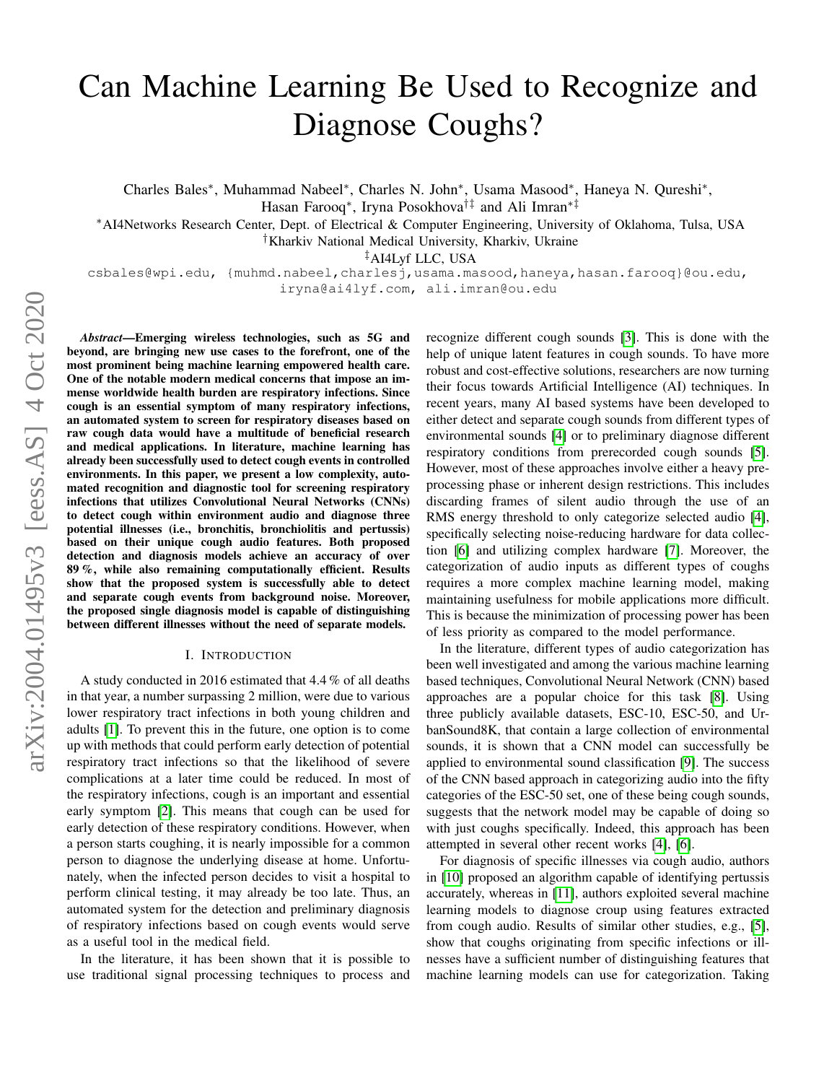# Can Machine Learning Be Used to Recognize and Diagnose Coughs?

Charles Bales<sup>∗</sup> , Muhammad Nabeel<sup>∗</sup> , Charles N. John<sup>∗</sup> , Usama Masood<sup>∗</sup> , Haneya N. Qureshi<sup>∗</sup> , Hasan Farooq<sup>∗</sup> , Iryna Posokhova†‡ and Ali Imran∗‡

<sup>∗</sup>AI4Networks Research Center, Dept. of Electrical & Computer Engineering, University of Oklahoma, Tulsa, USA

†Kharkiv National Medical University, Kharkiv, Ukraine

‡AI4Lyf LLC, USA

csbales@wpi.edu, {muhmd.nabeel,charlesj,usama.masood,haneya,hasan.farooq}@ou.edu, iryna@ai4lyf.com, ali.imran@ou.edu

*Abstract*—Emerging wireless technologies, such as 5G and beyond, are bringing new use cases to the forefront, one of the most prominent being machine learning empowered health care. One of the notable modern medical concerns that impose an immense worldwide health burden are respiratory infections. Since cough is an essential symptom of many respiratory infections, an automated system to screen for respiratory diseases based on raw cough data would have a multitude of beneficial research and medical applications. In literature, machine learning has already been successfully used to detect cough events in controlled environments. In this paper, we present a low complexity, automated recognition and diagnostic tool for screening respiratory infections that utilizes Convolutional Neural Networks (CNNs) to detect cough within environment audio and diagnose three potential illnesses (i.e., bronchitis, bronchiolitis and pertussis) based on their unique cough audio features. Both proposed detection and diagnosis models achieve an accuracy of over 89 %, while also remaining computationally efficient. Results show that the proposed system is successfully able to detect and separate cough events from background noise. Moreover, the proposed single diagnosis model is capable of distinguishing between different illnesses without the need of separate models.

#### I. INTRODUCTION

A study conducted in 2016 estimated that 4.4 % of all deaths in that year, a number surpassing 2 million, were due to various lower respiratory tract infections in both young children and adults [\[1\]](#page-3-0). To prevent this in the future, one option is to come up with methods that could perform early detection of potential respiratory tract infections so that the likelihood of severe complications at a later time could be reduced. In most of the respiratory infections, cough is an important and essential early symptom [\[2\]](#page-3-1). This means that cough can be used for early detection of these respiratory conditions. However, when a person starts coughing, it is nearly impossible for a common person to diagnose the underlying disease at home. Unfortunately, when the infected person decides to visit a hospital to perform clinical testing, it may already be too late. Thus, an automated system for the detection and preliminary diagnosis of respiratory infections based on cough events would serve as a useful tool in the medical field.

In the literature, it has been shown that it is possible to use traditional signal processing techniques to process and recognize different cough sounds [\[3\]](#page-3-2). This is done with the help of unique latent features in cough sounds. To have more robust and cost-effective solutions, researchers are now turning their focus towards Artificial Intelligence (AI) techniques. In recent years, many AI based systems have been developed to either detect and separate cough sounds from different types of environmental sounds [\[4\]](#page-3-3) or to preliminary diagnose different respiratory conditions from prerecorded cough sounds [\[5\]](#page-3-4). However, most of these approaches involve either a heavy preprocessing phase or inherent design restrictions. This includes discarding frames of silent audio through the use of an RMS energy threshold to only categorize selected audio [\[4\]](#page-3-3), specifically selecting noise-reducing hardware for data collection [\[6\]](#page-3-5) and utilizing complex hardware [\[7\]](#page-3-6). Moreover, the categorization of audio inputs as different types of coughs requires a more complex machine learning model, making maintaining usefulness for mobile applications more difficult. This is because the minimization of processing power has been of less priority as compared to the model performance.

In the literature, different types of audio categorization has been well investigated and among the various machine learning based techniques, Convolutional Neural Network (CNN) based approaches are a popular choice for this task [\[8\]](#page-3-7). Using three publicly available datasets, ESC-10, ESC-50, and UrbanSound8K, that contain a large collection of environmental sounds, it is shown that a CNN model can successfully be applied to environmental sound classification [\[9\]](#page-3-8). The success of the CNN based approach in categorizing audio into the fifty categories of the ESC-50 set, one of these being cough sounds, suggests that the network model may be capable of doing so with just coughs specifically. Indeed, this approach has been attempted in several other recent works [\[4\]](#page-3-3), [\[6\]](#page-3-5).

For diagnosis of specific illnesses via cough audio, authors in [\[10\]](#page-3-9) proposed an algorithm capable of identifying pertussis accurately, whereas in [\[11\]](#page-3-10), authors exploited several machine learning models to diagnose croup using features extracted from cough audio. Results of similar other studies, e.g., [\[5\]](#page-3-4), show that coughs originating from specific infections or illnesses have a sufficient number of distinguishing features that machine learning models can use for categorization. Taking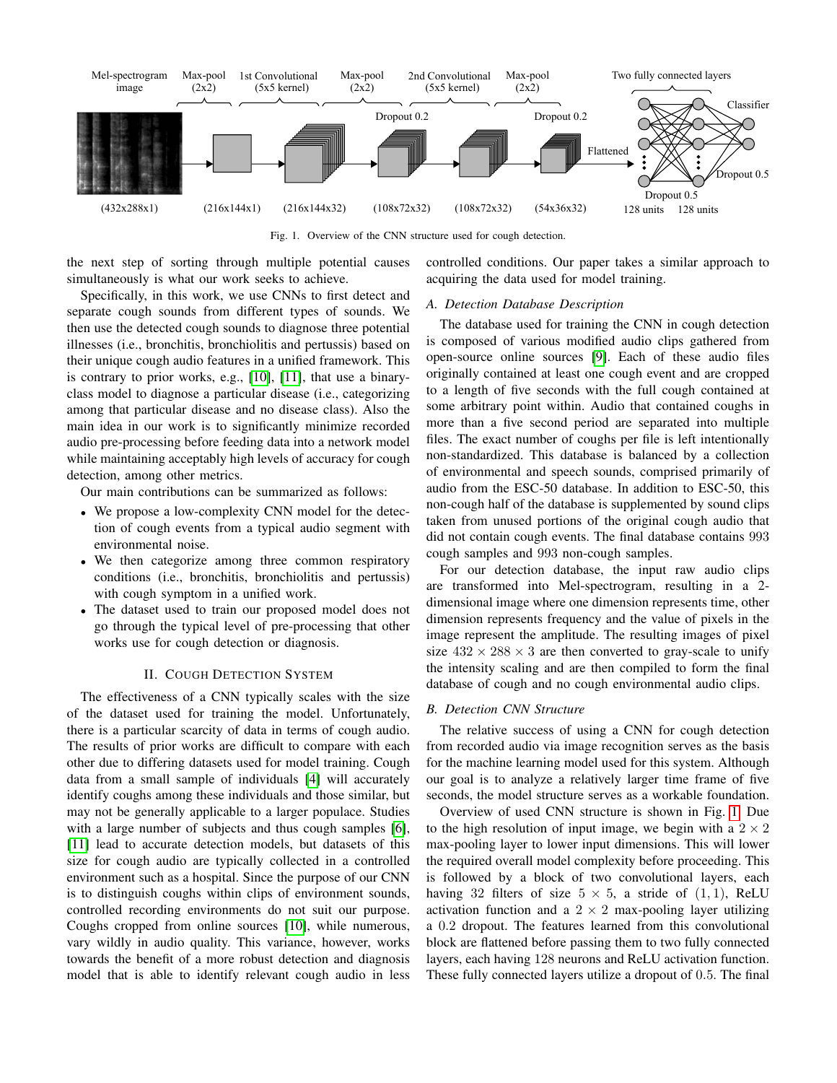

<span id="page-1-0"></span>Fig. 1. Overview of the CNN structure used for cough detection.

the next step of sorting through multiple potential causes simultaneously is what our work seeks to achieve.

Specifically, in this work, we use CNNs to first detect and separate cough sounds from different types of sounds. We then use the detected cough sounds to diagnose three potential illnesses (i.e., bronchitis, bronchiolitis and pertussis) based on their unique cough audio features in a unified framework. This is contrary to prior works, e.g., [\[10\]](#page-3-9), [\[11\]](#page-3-10), that use a binaryclass model to diagnose a particular disease (i.e., categorizing among that particular disease and no disease class). Also the main idea in our work is to significantly minimize recorded audio pre-processing before feeding data into a network model while maintaining acceptably high levels of accuracy for cough detection, among other metrics.

Our main contributions can be summarized as follows:

- We propose a low-complexity CNN model for the detection of cough events from a typical audio segment with environmental noise.
- We then categorize among three common respiratory conditions (i.e., bronchitis, bronchiolitis and pertussis) with cough symptom in a unified work.
- The dataset used to train our proposed model does not go through the typical level of pre-processing that other works use for cough detection or diagnosis.

## II. COUGH DETECTION SYSTEM

The effectiveness of a CNN typically scales with the size of the dataset used for training the model. Unfortunately, there is a particular scarcity of data in terms of cough audio. The results of prior works are difficult to compare with each other due to differing datasets used for model training. Cough data from a small sample of individuals [\[4\]](#page-3-3) will accurately identify coughs among these individuals and those similar, but may not be generally applicable to a larger populace. Studies with a large number of subjects and thus cough samples [\[6\]](#page-3-5), [\[11\]](#page-3-10) lead to accurate detection models, but datasets of this size for cough audio are typically collected in a controlled environment such as a hospital. Since the purpose of our CNN is to distinguish coughs within clips of environment sounds, controlled recording environments do not suit our purpose. Coughs cropped from online sources [\[10\]](#page-3-9), while numerous, vary wildly in audio quality. This variance, however, works towards the benefit of a more robust detection and diagnosis model that is able to identify relevant cough audio in less

controlled conditions. Our paper takes a similar approach to acquiring the data used for model training.

### *A. Detection Database Description*

The database used for training the CNN in cough detection is composed of various modified audio clips gathered from open-source online sources [\[9\]](#page-3-8). Each of these audio files originally contained at least one cough event and are cropped to a length of five seconds with the full cough contained at some arbitrary point within. Audio that contained coughs in more than a five second period are separated into multiple files. The exact number of coughs per file is left intentionally non-standardized. This database is balanced by a collection of environmental and speech sounds, comprised primarily of audio from the ESC-50 database. In addition to ESC-50, this non-cough half of the database is supplemented by sound clips taken from unused portions of the original cough audio that did not contain cough events. The final database contains 993 cough samples and 993 non-cough samples.

For our detection database, the input raw audio clips are transformed into Mel-spectrogram, resulting in a 2 dimensional image where one dimension represents time, other dimension represents frequency and the value of pixels in the image represent the amplitude. The resulting images of pixel size  $432 \times 288 \times 3$  are then converted to gray-scale to unify the intensity scaling and are then compiled to form the final database of cough and no cough environmental audio clips.

## *B. Detection CNN Structure*

The relative success of using a CNN for cough detection from recorded audio via image recognition serves as the basis for the machine learning model used for this system. Although our goal is to analyze a relatively larger time frame of five seconds, the model structure serves as a workable foundation.

Overview of used CNN structure is shown in Fig. [1.](#page-1-0) Due to the high resolution of input image, we begin with a  $2 \times 2$ max-pooling layer to lower input dimensions. This will lower the required overall model complexity before proceeding. This is followed by a block of two convolutional layers, each having 32 filters of size  $5 \times 5$ , a stride of  $(1, 1)$ , ReLU activation function and a  $2 \times 2$  max-pooling layer utilizing a 0.2 dropout. The features learned from this convolutional block are flattened before passing them to two fully connected layers, each having 128 neurons and ReLU activation function. These fully connected layers utilize a dropout of 0.5. The final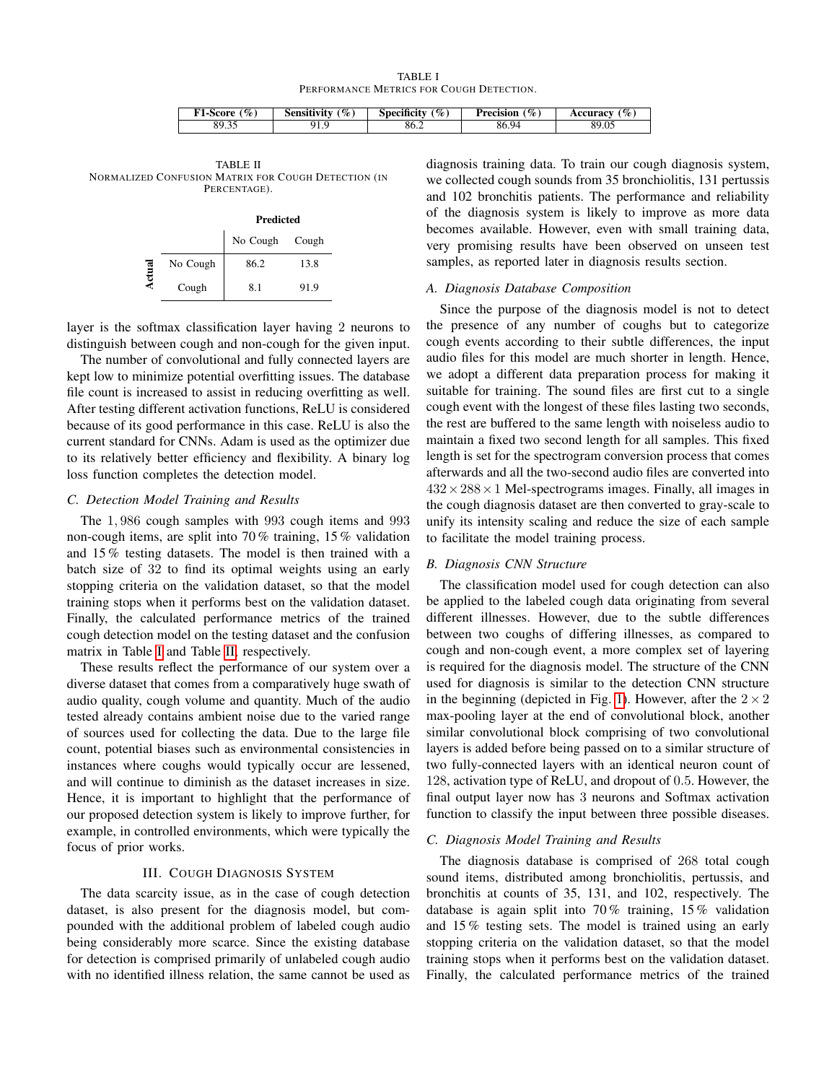TABLE I PERFORMANCE METRICS FOR COUGH DETECTION.

| $\%$<br><b>1-Score</b>  | $\mathscr{C}_o$<br>$\cdots$<br>Sensitivity | $\mathscr{C}_\infty$ .<br>$\cdots$<br>Specificity | $\%$<br>Precision | $\%$<br>Accuracy |
|-------------------------|--------------------------------------------|---------------------------------------------------|-------------------|------------------|
| $\Omega$<br>QΟ<br>07.JJ |                                            | 86.2                                              | 86.9<br>94        | 89.05            |

<span id="page-2-1"></span><span id="page-2-0"></span>TABLE II NORMALIZED CONFUSION MATRIX FOR COUGH DETECTION (IN PERCENTAGE).

|              |          | <b>Predicted</b> |       |  |
|--------------|----------|------------------|-------|--|
|              |          | No Cough         | Cough |  |
| $\mathbf{r}$ | No Cough | 86.2             | 13.8  |  |
|              | Cough    | 81               | 91.9  |  |

layer is the softmax classification layer having 2 neurons to distinguish between cough and non-cough for the given input.

The number of convolutional and fully connected layers are kept low to minimize potential overfitting issues. The database file count is increased to assist in reducing overfitting as well. After testing different activation functions, ReLU is considered because of its good performance in this case. ReLU is also the current standard for CNNs. Adam is used as the optimizer due to its relatively better efficiency and flexibility. A binary log loss function completes the detection model.

## *C. Detection Model Training and Results*

The 1, 986 cough samples with 993 cough items and 993 non-cough items, are split into 70 % training, 15 % validation and 15 % testing datasets. The model is then trained with a batch size of 32 to find its optimal weights using an early stopping criteria on the validation dataset, so that the model training stops when it performs best on the validation dataset. Finally, the calculated performance metrics of the trained cough detection model on the testing dataset and the confusion matrix in Table [I](#page-2-0) and Table [II,](#page-2-1) respectively.

These results reflect the performance of our system over a diverse dataset that comes from a comparatively huge swath of audio quality, cough volume and quantity. Much of the audio tested already contains ambient noise due to the varied range of sources used for collecting the data. Due to the large file count, potential biases such as environmental consistencies in instances where coughs would typically occur are lessened, and will continue to diminish as the dataset increases in size. Hence, it is important to highlight that the performance of our proposed detection system is likely to improve further, for example, in controlled environments, which were typically the focus of prior works.

# III. COUGH DIAGNOSIS SYSTEM

The data scarcity issue, as in the case of cough detection dataset, is also present for the diagnosis model, but compounded with the additional problem of labeled cough audio being considerably more scarce. Since the existing database for detection is comprised primarily of unlabeled cough audio with no identified illness relation, the same cannot be used as

diagnosis training data. To train our cough diagnosis system, we collected cough sounds from 35 bronchiolitis, 131 pertussis and 102 bronchitis patients. The performance and reliability of the diagnosis system is likely to improve as more data becomes available. However, even with small training data, very promising results have been observed on unseen test samples, as reported later in diagnosis results section.

#### *A. Diagnosis Database Composition*

Since the purpose of the diagnosis model is not to detect the presence of any number of coughs but to categorize cough events according to their subtle differences, the input audio files for this model are much shorter in length. Hence, we adopt a different data preparation process for making it suitable for training. The sound files are first cut to a single cough event with the longest of these files lasting two seconds, the rest are buffered to the same length with noiseless audio to maintain a fixed two second length for all samples. This fixed length is set for the spectrogram conversion process that comes afterwards and all the two-second audio files are converted into  $432 \times 288 \times 1$  Mel-spectrograms images. Finally, all images in the cough diagnosis dataset are then converted to gray-scale to unify its intensity scaling and reduce the size of each sample to facilitate the model training process.

# *B. Diagnosis CNN Structure*

The classification model used for cough detection can also be applied to the labeled cough data originating from several different illnesses. However, due to the subtle differences between two coughs of differing illnesses, as compared to cough and non-cough event, a more complex set of layering is required for the diagnosis model. The structure of the CNN used for diagnosis is similar to the detection CNN structure in the beginning (depicted in Fig. [1\)](#page-1-0). However, after the  $2 \times 2$ max-pooling layer at the end of convolutional block, another similar convolutional block comprising of two convolutional layers is added before being passed on to a similar structure of two fully-connected layers with an identical neuron count of 128, activation type of ReLU, and dropout of 0.5. However, the final output layer now has 3 neurons and Softmax activation function to classify the input between three possible diseases.

#### *C. Diagnosis Model Training and Results*

The diagnosis database is comprised of 268 total cough sound items, distributed among bronchiolitis, pertussis, and bronchitis at counts of 35, 131, and 102, respectively. The database is again split into 70 % training, 15 % validation and 15 % testing sets. The model is trained using an early stopping criteria on the validation dataset, so that the model training stops when it performs best on the validation dataset. Finally, the calculated performance metrics of the trained